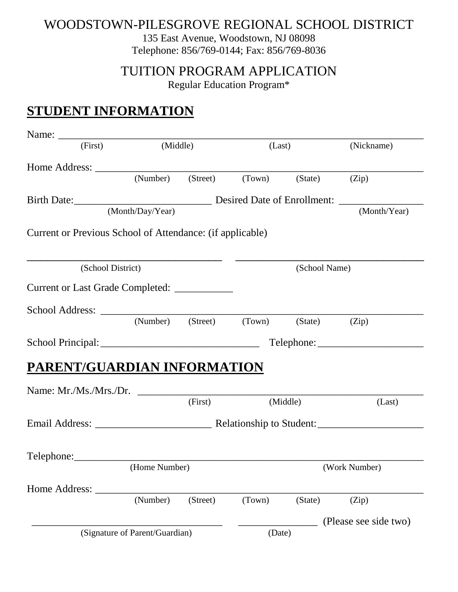#### WOODSTOWN-PILESGROVE REGIONAL SCHOOL DISTRICT

135 East Avenue, Woodstown, NJ 08098 Telephone: 856/769-0144; Fax: 856/769-8036

TUITION PROGRAM APPLICATION

Regular Education Program\*

### **STUDENT INFORMATION**

| (First)                                                   | (Middle)         |          | (Last)                                 |          | (Nickname)            |
|-----------------------------------------------------------|------------------|----------|----------------------------------------|----------|-----------------------|
|                                                           |                  |          |                                        |          |                       |
|                                                           |                  |          | (Number) (Street) (Town) (State) (Zip) |          |                       |
|                                                           |                  |          |                                        |          |                       |
|                                                           | (Month/Day/Year) |          |                                        |          | (Month/Year)          |
| Current or Previous School of Attendance: (if applicable) |                  |          |                                        |          |                       |
| (School District)                                         |                  |          | (School Name)                          |          |                       |
| Current or Last Grade Completed: ____________             |                  |          |                                        |          |                       |
|                                                           |                  |          |                                        |          |                       |
|                                                           |                  |          | (Number) (Street) (Town) (State) (Zip) |          |                       |
|                                                           | Telephone:       |          |                                        |          |                       |
| PARENT/GUARDIAN INFORMATION                               |                  |          |                                        |          |                       |
|                                                           |                  |          |                                        |          |                       |
|                                                           |                  | (First)  |                                        | (Middle) | (Last)                |
|                                                           |                  |          |                                        |          |                       |
|                                                           |                  |          |                                        |          |                       |
|                                                           |                  |          |                                        |          |                       |
|                                                           | (Home Number)    |          | (Work Number)                          |          |                       |
| Home Address:                                             |                  |          |                                        |          |                       |
|                                                           | (Number)         | (Street) | (Town)                                 | (State)  | (Zip)                 |
|                                                           |                  |          |                                        |          | (Please see side two) |
| (Signature of Parent/Guardian)                            |                  |          | (Date)                                 |          |                       |